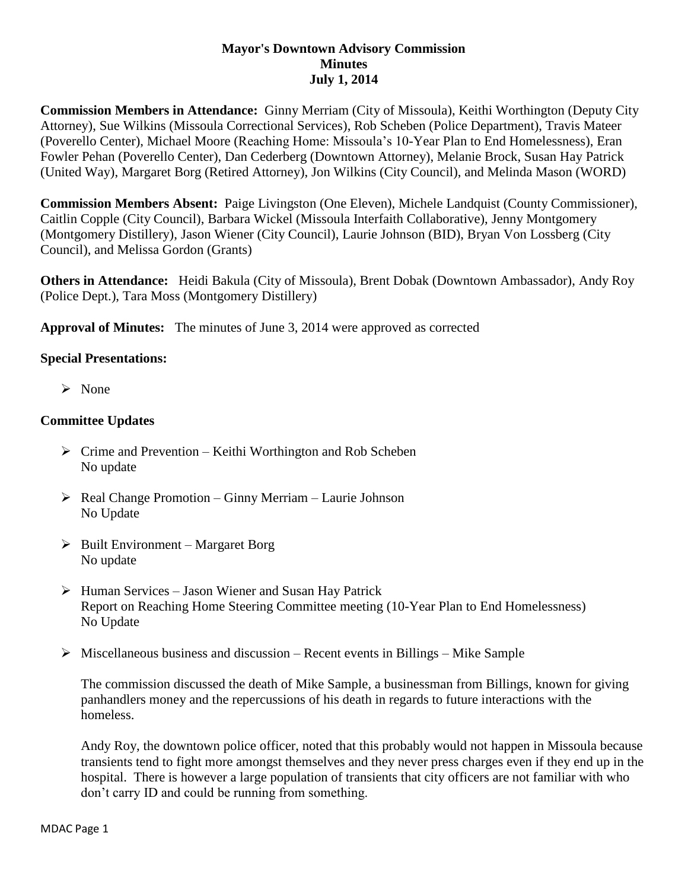## **Mayor's Downtown Advisory Commission Minutes July 1, 2014**

**Commission Members in Attendance:** Ginny Merriam (City of Missoula), Keithi Worthington (Deputy City Attorney), Sue Wilkins (Missoula Correctional Services), Rob Scheben (Police Department), Travis Mateer (Poverello Center), Michael Moore (Reaching Home: Missoula's 10-Year Plan to End Homelessness), Eran Fowler Pehan (Poverello Center), Dan Cederberg (Downtown Attorney), Melanie Brock, Susan Hay Patrick (United Way), Margaret Borg (Retired Attorney), Jon Wilkins (City Council), and Melinda Mason (WORD)

**Commission Members Absent:** Paige Livingston (One Eleven), Michele Landquist (County Commissioner), Caitlin Copple (City Council), Barbara Wickel (Missoula Interfaith Collaborative), Jenny Montgomery (Montgomery Distillery), Jason Wiener (City Council), Laurie Johnson (BID), Bryan Von Lossberg (City Council), and Melissa Gordon (Grants)

**Others in Attendance:** Heidi Bakula (City of Missoula), Brent Dobak (Downtown Ambassador), Andy Roy (Police Dept.), Tara Moss (Montgomery Distillery)

**Approval of Minutes:** The minutes of June 3, 2014 were approved as corrected

## **Special Presentations:**

 $\triangleright$  None

## **Committee Updates**

- $\triangleright$  Crime and Prevention Keithi Worthington and Rob Scheben No update
- $\triangleright$  Real Change Promotion Ginny Merriam Laurie Johnson No Update
- $\triangleright$  Built Environment Margaret Borg No update
- $\triangleright$  Human Services Jason Wiener and Susan Hay Patrick Report on Reaching Home Steering Committee meeting (10-Year Plan to End Homelessness) No Update
- $\triangleright$  Miscellaneous business and discussion Recent events in Billings Mike Sample

The commission discussed the death of Mike Sample, a businessman from Billings, known for giving panhandlers money and the repercussions of his death in regards to future interactions with the homeless.

Andy Roy, the downtown police officer, noted that this probably would not happen in Missoula because transients tend to fight more amongst themselves and they never press charges even if they end up in the hospital. There is however a large population of transients that city officers are not familiar with who don't carry ID and could be running from something.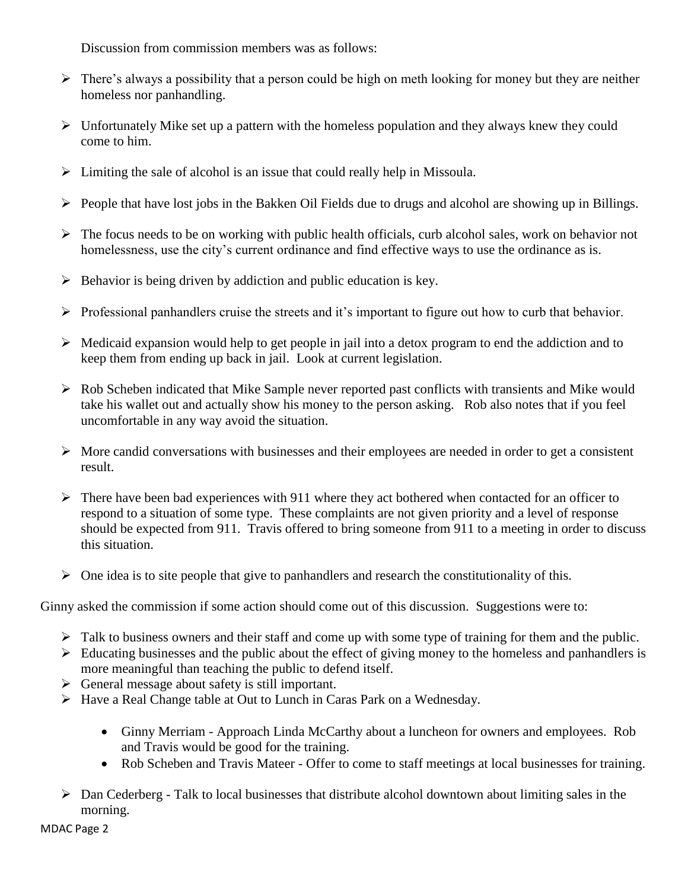Discussion from commission members was as follows:

- $\triangleright$  There's always a possibility that a person could be high on meth looking for money but they are neither homeless nor panhandling.
- $\triangleright$  Unfortunately Mike set up a pattern with the homeless population and they always knew they could come to him.
- $\triangleright$  Limiting the sale of alcohol is an issue that could really help in Missoula.
- $\triangleright$  People that have lost jobs in the Bakken Oil Fields due to drugs and alcohol are showing up in Billings.
- $\triangleright$  The focus needs to be on working with public health officials, curb alcohol sales, work on behavior not homelessness, use the city's current ordinance and find effective ways to use the ordinance as is.
- $\triangleright$  Behavior is being driven by addiction and public education is key.
- $\triangleright$  Professional panhandlers cruise the streets and it's important to figure out how to curb that behavior.
- $\triangleright$  Medicaid expansion would help to get people in jail into a detox program to end the addiction and to keep them from ending up back in jail. Look at current legislation.
- Rob Scheben indicated that Mike Sample never reported past conflicts with transients and Mike would take his wallet out and actually show his money to the person asking. Rob also notes that if you feel uncomfortable in any way avoid the situation.
- $\triangleright$  More candid conversations with businesses and their employees are needed in order to get a consistent result.
- $\triangleright$  There have been bad experiences with 911 where they act bothered when contacted for an officer to respond to a situation of some type. These complaints are not given priority and a level of response should be expected from 911. Travis offered to bring someone from 911 to a meeting in order to discuss this situation.
- $\triangleright$  One idea is to site people that give to panhandlers and research the constitutionality of this.

Ginny asked the commission if some action should come out of this discussion. Suggestions were to:

- $\triangleright$  Talk to business owners and their staff and come up with some type of training for them and the public.
- $\triangleright$  Educating businesses and the public about the effect of giving money to the homeless and panhandlers is more meaningful than teaching the public to defend itself.
- $\triangleright$  General message about safety is still important.
- Have a Real Change table at Out to Lunch in Caras Park on a Wednesday.
	- Ginny Merriam Approach Linda McCarthy about a luncheon for owners and employees. Rob and Travis would be good for the training.
	- Rob Scheben and Travis Mateer Offer to come to staff meetings at local businesses for training.
- $\triangleright$  Dan Cederberg Talk to local businesses that distribute alcohol downtown about limiting sales in the morning.